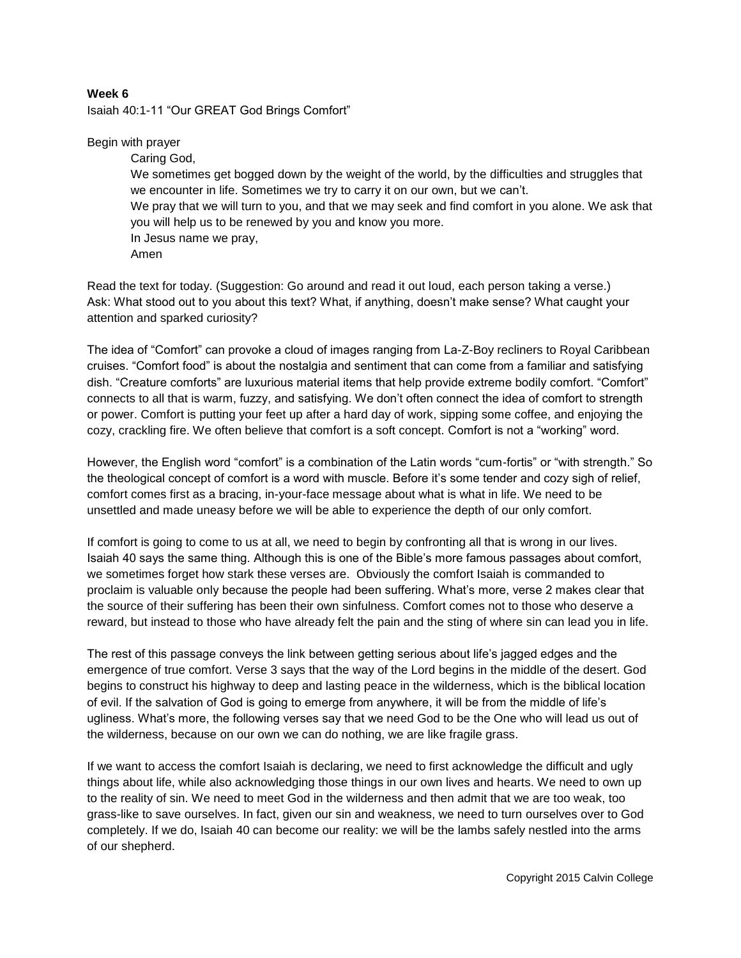## **Week 6**

Isaiah 40:1-11 "Our GREAT God Brings Comfort"

## Begin with prayer

Caring God, We sometimes get bogged down by the weight of the world, by the difficulties and struggles that we encounter in life. Sometimes we try to carry it on our own, but we can't. We pray that we will turn to you, and that we may seek and find comfort in you alone. We ask that you will help us to be renewed by you and know you more. In Jesus name we pray, Amen

Read the text for today. (Suggestion: Go around and read it out loud, each person taking a verse.) Ask: What stood out to you about this text? What, if anything, doesn't make sense? What caught your attention and sparked curiosity?

The idea of "Comfort" can provoke a cloud of images ranging from La-Z-Boy recliners to Royal Caribbean cruises. "Comfort food" is about the nostalgia and sentiment that can come from a familiar and satisfying dish. "Creature comforts" are luxurious material items that help provide extreme bodily comfort. "Comfort" connects to all that is warm, fuzzy, and satisfying. We don't often connect the idea of comfort to strength or power. Comfort is putting your feet up after a hard day of work, sipping some coffee, and enjoying the cozy, crackling fire. We often believe that comfort is a soft concept. Comfort is not a "working" word.

However, the English word "comfort" is a combination of the Latin words "cum-fortis" or "with strength." So the theological concept of comfort is a word with muscle. Before it's some tender and cozy sigh of relief, comfort comes first as a bracing, in-your-face message about what is what in life. We need to be unsettled and made uneasy before we will be able to experience the depth of our only comfort.

If comfort is going to come to us at all, we need to begin by confronting all that is wrong in our lives. Isaiah 40 says the same thing. Although this is one of the Bible's more famous passages about comfort, we sometimes forget how stark these verses are. Obviously the comfort Isaiah is commanded to proclaim is valuable only because the people had been suffering. What's more, verse 2 makes clear that the source of their suffering has been their own sinfulness. Comfort comes not to those who deserve a reward, but instead to those who have already felt the pain and the sting of where sin can lead you in life.

The rest of this passage conveys the link between getting serious about life's jagged edges and the emergence of true comfort. Verse 3 says that the way of the Lord begins in the middle of the desert. God begins to construct his highway to deep and lasting peace in the wilderness, which is the biblical location of evil. If the salvation of God is going to emerge from anywhere, it will be from the middle of life's ugliness. What's more, the following verses say that we need God to be the One who will lead us out of the wilderness, because on our own we can do nothing, we are like fragile grass.

If we want to access the comfort Isaiah is declaring, we need to first acknowledge the difficult and ugly things about life, while also acknowledging those things in our own lives and hearts. We need to own up to the reality of sin. We need to meet God in the wilderness and then admit that we are too weak, too grass-like to save ourselves. In fact, given our sin and weakness, we need to turn ourselves over to God completely. If we do, Isaiah 40 can become our reality: we will be the lambs safely nestled into the arms of our shepherd.